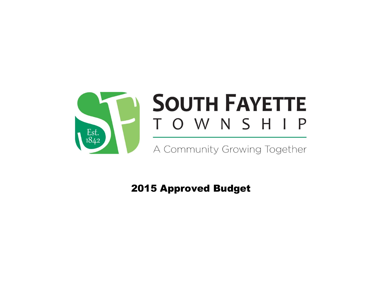

# Approved Budget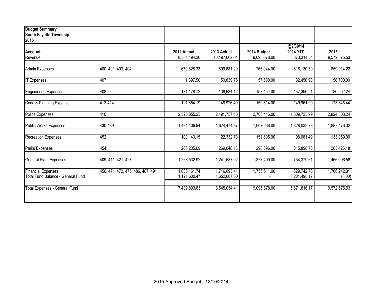| <b>Budget Summary</b>                                          |                                   |              |               |              |                 |              |
|----------------------------------------------------------------|-----------------------------------|--------------|---------------|--------------|-----------------|--------------|
| <b>South Fayette Township</b>                                  |                                   |              |               |              |                 |              |
| 2015                                                           |                                   |              |               |              |                 |              |
|                                                                |                                   |              |               |              | @9/30/14        |              |
| <b>Account</b>                                                 |                                   | 2012 Actual  | 2013 Actual   | 2014 Budget  | <b>2014 YTD</b> | 2015         |
| Revenue                                                        |                                   | 8,561,494.30 | 10,197,062.01 | 9,095,678.00 | 8,873,314.34    | 9,572,575.53 |
| <b>Admin Expenses</b>                                          | 400, 401, 403, 404                | 679,828.33   | 690,681.29    | 765,044.00   | 616,130.50      | 859,014.22   |
| <b>IT Expenses</b>                                             | 407                               | 1,697.50     | 50,839.75     | 57,500.00    | 32,450.90       | 58,700.00    |
| <b>Engineering Expenses</b>                                    | 408                               | 171,178.12   | 138,634.16    | 157,454.00   | 137,396.51      | 180,502.24   |
| Code & Planning Expenses                                       | 413-414                           | 121,854.19   | 148,926.40    | 159,614.00   | 149,961.90      | 173,845.44   |
| <b>Police Expenses</b>                                         | 410                               | 2,328,855.25 | 2,491,737.18  | 2,705,416.00 | 1,609,733.99    | 2,824,303.24 |
| <b>Public Works Expenses</b>                                   | 430-439                           | 1,481,406.94 | 1,674,474.37  | 1,667,238.00 | 1,328,039.78    | 1,887,476.32 |
| <b>Recreation Expenses</b>                                     | 452                               | 100,143.15   | 122,332.70    | 151,605.00   | 98,081.49       | 133,059.00   |
| Parks Expenses                                                 | 454                               | 206,235.69   | 269,048.13    | 298,896.00   | 315,898.73      | 283,426.18   |
| <b>General Plant Expenses</b>                                  | 409, 411, 421, 427                | 1,268,532.92 | 1,241,687.02  | 1,377,400.00 | 754,379.61      | 1,466,006.58 |
| <b>Financial Expenses</b><br>Total Fund Balance - General Fund | 456, 471, 472, 475, 486, 487, 491 | 1,080,161.74 | 1,716,693.41  | 1,755,511.00 | 629,742.76      | 1,706,242.31 |
|                                                                |                                   | 1,121,600.47 | 1,652,007.60  |              | 3,201,498.17    | (0.00)       |
| Total Expenses - General Fund                                  |                                   | 7,439,893.83 | 8,545,054.41  | 9,095,678.00 | 5,671,816.17    | 9,572,575.53 |
|                                                                |                                   |              |               |              |                 |              |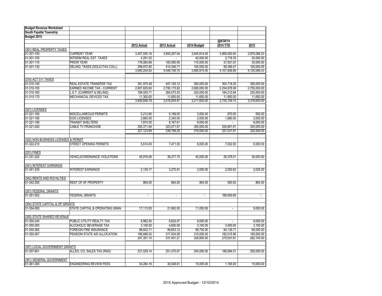| <b>Budget Revenue Worksheet</b>      |                                       |                           |                             |                             |                           |                           |
|--------------------------------------|---------------------------------------|---------------------------|-----------------------------|-----------------------------|---------------------------|---------------------------|
| South Fayette Township               |                                       |                           |                             |                             |                           |                           |
| Budget 2015                          |                                       |                           |                             |                             |                           |                           |
|                                      |                                       |                           |                             |                             | @9/30/14                  |                           |
|                                      |                                       | 2012 Actual               | 2013 Actual                 | 2014 Budget                 | <b>2014 YTD</b>           | 2015                      |
| (301) REAL PROPERTY TAXES            |                                       |                           |                             |                             |                           |                           |
| 01-301-100                           | <b>CURRENT YEAR</b>                   | 3,457,930.18              | 3,950,267.04                | 3,645,914.00                | 3,968,000.00              | 3,970,086.53              |
| 01-301-105                           | <b>INTERIM REAL EST. TAXES</b>        | 4,291.02                  |                             | 40,000.00                   | 2,716.35                  | 20,000.00                 |
| 01-301-110                           | <b>PRIOR YEAR</b>                     | 178,060.68                | 183,585.95                  | 110,000.00                  | 37,501.07                 | 30,000.00                 |
| 01-301-130                           | <b>DELINQ. TAXES (SOLIC/TAX COLL)</b> | 299,972.95                | 414,346.71                  | 100.000.00                  | 99,389.47                 | 100.000.00                |
|                                      |                                       | 3,940,254.83              | 4,548,199.70                | 3,895,914.00                | 4,107,606.89              | 4,120,086.53              |
|                                      |                                       |                           |                             |                             |                           |                           |
| (310) ACT 511 TAXES                  |                                       |                           |                             |                             |                           |                           |
| 01-310-140                           | REAL ESTATE TRANSFER TAX              | 381,975.48                | 447, 155.12                 | 380,000.00                  | 304,718.25                | 390,000.00                |
| 01-310-155                           | <b>EARNED INCOME TAX - CURRENT</b>    | 2,807,825.60              | 2,795,175.82                | 2,600,000.00                | 2,254,978.06              | 2,750,000.00              |
| 01-310-160                           | L.S.T. (CURRENT & DELINQ)             | 199,555.71                | 264,073.53                  | 220,000.00                  | 184,212.84                | 225,000.00                |
| 01-310-170                           | <b>MECHANICAL DEVICES TAX</b>         | 11,300.00<br>3,400,656.79 | 11,650.00<br>3,518,054.47   | 11,650.00<br>3,211,650.00   | 11,850.00<br>2,755,759.15 | 11,650.00<br>3,376,650.00 |
|                                      |                                       |                           |                             |                             |                           |                           |
| (321) LICENSES                       |                                       |                           |                             |                             |                           |                           |
| 01-321-180                           | <b>MISCELLANEOUS PERMITS</b>          | 5,212.80                  | 5,189.00                    | 3,000.00                    | 870.00                    | 500.00                    |
| 01-321-185                           | <b>DOG LICENSES</b>                   | 2,665.00                  | 2,340.00                    | 2,000.00                    | 1,860.00                  | 2,000.00                  |
| 01-321-190                           | <b>TRANSIT SHELTERS</b>               | 7,874.05                  | 8,167.61                    | 9,000.00                    |                           | 8,000.00                  |
| 01-321-200                           | <b>CABLE TV FRANCHISE</b>             | 305.371.84                | 323.071.67                  | 305.000.00                  | 254,801.81                | 320,000.00                |
|                                      |                                       | 321,123.69                | 338,768.28                  | 319,000.00                  | 257,531.81                | 330,500.00                |
|                                      |                                       |                           |                             |                             |                           |                           |
| (322) NON BUSINESS LICENSES & PERMIT |                                       |                           |                             |                             |                           |                           |
| 01-322-210                           | <b>STREET OPENING PERMITS</b>         | 5,614.00                  | 7,471.00                    | 6,000.00                    | 7,002.00                  | 6,000.00                  |
|                                      |                                       |                           |                             |                             |                           |                           |
| (331) FINES                          |                                       |                           |                             |                             |                           |                           |
| 01-331-220                           | <b>VEHICLE/ORDINANCE VIOLATIONS</b>   | 45,916.06                 | 36,277.75                   | 45,000.00                   | 26,378.01                 | 36,000.00                 |
|                                      |                                       |                           |                             |                             |                           |                           |
| (341) INTEREST EARNINGS              |                                       |                           |                             |                             |                           |                           |
| 01-341-230                           | <b>INTEREST EARNINGS</b>              | 2,139.17                  | 3,275.91                    | 3,000.00                    | 2,002.62                  | 2,025.00                  |
|                                      |                                       |                           |                             |                             |                           |                           |
| (342) RENTS AND ROYALTIES            |                                       |                           |                             |                             |                           |                           |
| 01-342-200                           | <b>RENT OF SF PROPERTY</b>            | 864.00                    | 864.00                      | 864.00                      | 500.00                    | 864.00                    |
|                                      |                                       |                           |                             |                             |                           |                           |
| (351) FEDERAL GRANTS                 |                                       |                           |                             |                             |                           |                           |
| 01-351-552                           | <b>FEDERAL GRANTS</b>                 | $\blacksquare$            | $\mathcal{L}_{\mathcal{A}}$ | $\mathcal{L}_{\mathcal{A}}$ | 188,859.69                | $\mathcal{L}$             |
|                                      |                                       |                           |                             |                             |                           |                           |
| (354) STATE CAPITAL & OP GRANTS      |                                       |                           |                             |                             |                           |                           |
| 01-354-550                           | STATE CAPITAL & OPERATING GRAN        | 17,113.00                 | 21,962.00                   | 11,000.00                   | $\sim$                    | 9,000.00                  |
|                                      |                                       |                           |                             |                             |                           |                           |
| (355) STATE SHARED REVENUE           |                                       |                           |                             |                             |                           |                           |
| 01-355-240                           | PUBLIC UTILITY REALTY TAX             | 8,962.40                  | 9,624.07                    | 9,000.00                    | ×.                        | 9.000.00                  |
| 01-355-250                           | ALCOHOLIC BEVERAGE TAX                | 3,100.00                  | 4,600.00                    | 3,100.00                    | 3,400.00                  | 3,100.00                  |
| 01-355-265<br>01-355-267             | <b>FOREIGN FIRE INSURANCE</b>         | 88,602.71                 | 99,653.12                   | 99,700.00                   | 94,135.71                 | 90,000.00                 |
|                                      | PENSION STATE AID ALLOCATION          | 196,686.03<br>297,351.14  | 217,524.08<br>331,401.27    | 215,000.00<br>326,800.00    | 182,015.96<br>279,551.67  | 180,000.00<br>282,100.00  |
|                                      |                                       |                           |                             |                             |                           |                           |
| (357) LOCAL GOVERNMENT GRANTS        |                                       |                           |                             |                             |                           |                           |
| 01-357-601                           | ALLEG. CO. SALES TAX (RAD)            | 231.029.14                | 251,470.07                  | 240.000.00                  | 186,994.51                | 250,000.00                |
|                                      |                                       |                           |                             |                             |                           |                           |
| (361) GENERAL GOVERNMENT             |                                       |                           |                             |                             |                           |                           |
| 01-361-300                           | <b>ENGINEERING REVIEW FEES</b>        | 34.284.16                 | 30.048.61                   | 15.000.00                   | 1.185.00                  | 15,000.00                 |
|                                      |                                       |                           |                             |                             |                           |                           |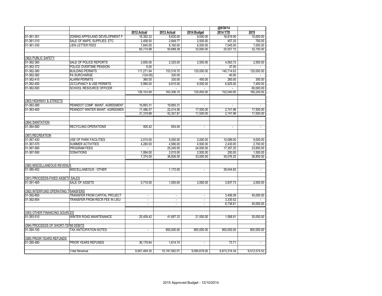|                                     |                                      |                          |                |                | @9/30/14             |                          |
|-------------------------------------|--------------------------------------|--------------------------|----------------|----------------|----------------------|--------------------------|
|                                     |                                      | 2012 Actual              | 2013 Actual    | 2014 Budget    | 2014 YTD             | 2015                     |
| 01-361-301                          | ZONING APPS/LAND DEVELOPMENT F       | 16.392.32                | 9.630.00       | 9.000.00       | 16.819.90            | 10.000.00                |
| 01-361-310                          | SALE OF MAPS, SUPPLIES, ETC          | 2,458.50                 | 2.849.77       | 2,500.00       | 457.25               | 750.00                   |
| 01-361-330                          | <b>LIEN LETTER FEES</b>              | 7.640.00                 | 8.160.00       | 6.500.00       | 7.045.00             | 7.000.00                 |
|                                     |                                      | 60.774.98                | 50,688.38      | 33.000.00      | 25,507.15            | 32,750.00                |
|                                     |                                      |                          |                |                |                      |                          |
| (362) PUBLIC SAFETY                 |                                      |                          |                |                |                      |                          |
| 01-362-360                          | <b>SALE OF POLICE REPORTS</b>        | 2,650.00                 | 2.325.00       | 2.500.00       | 4.063.72             | 2,500.00                 |
| 01-362-372                          | POLICE OVERTIME PENSION              | 6.00                     |                |                | 37.50                |                          |
| 01-362-380                          | <b>BUILDING PERMITS</b>              | 117,271.94               | 153,516.70     | 120.000.00     | 140,714.63           | 120.000.00               |
| 01-362-382                          | <b>PA SURCHARGE</b>                  | (124.00)                 | 320.00         |                | 40.00                |                          |
| 01-362-410                          | <b>ALARM PERMITS</b>                 | 360.00                   | 330.00         | 450.00         | 260.00               | 300.00                   |
| 01-362-450                          | <b>OCCUPANCY &amp; USE PERMITS</b>   | 5.990.00                 | 6.815.00       | 6.500.00       | 6.925.00             | 7.450.00                 |
| 01-362-500                          | SCHOOL RESOURCE OFFICER              | $\overline{\phantom{a}}$ |                |                | $\mathcal{L}$        | 60.000.00                |
|                                     |                                      | 126, 153.94              | 163,306.70     | 129,450.00     | 152,040.85           | 190,250.00               |
|                                     |                                      |                          |                |                |                      |                          |
| (363) HIGHWAY & STREETS             |                                      |                          |                |                |                      |                          |
| 01-363-390                          | PENNDOT COMP, MAINT, AGREEMENT       | 19,893.31                | 19,893.31      |                | ÷                    |                          |
| 01-363-400                          | PENNDOT WINTER MAINT, AGREEMEN       | 17,486.57                | 22.414.56      | 17.500.00      | 2.741.96             | 17.500.00                |
|                                     |                                      | 37,379.88                | 42,307.87      | 17,500.00      | 2,741.96             | 17,500.00                |
|                                     |                                      |                          |                |                |                      |                          |
| (364) SANITATION                    |                                      |                          |                |                |                      |                          |
| 01-364-560                          | <b>RECYCLING OPERATIONS</b>          | 400.42                   | 654.04         | $\sim$         | ÷                    | $\blacksquare$           |
|                                     |                                      |                          |                |                |                      |                          |
| (367) RECREATION                    |                                      |                          |                |                |                      |                          |
| 01-367-430                          | <b>USE OF PARK FACILITIES</b>        | 2.010.00                 | 5.000.00       | 2.000.00       | 10.089.00            | 9.000.00                 |
| 01-367-570                          | <b>SUMMER ACTIVITIES</b>             | 4.280.00                 | 4,566.00       | 4.500.00       | 2.430.00             | 2,700.00                 |
| 01-367-580                          | <b>PROGRAM FEES</b>                  | ÷                        | 25.245.50      | 24,000.00      | 17.357.25            | 23,650.00                |
| 01-367-590                          | <b>DONATIONS</b>                     | 1.084.00                 | 2.015.00       | 2.500.00       | 200.00               | 1.500.00                 |
|                                     |                                      | 7,374.00                 | 36,826.50      | 33,000.00      | 30,076.25            | 36,850.00                |
|                                     |                                      |                          |                |                |                      |                          |
| (380) MISCELLANEOUS REVENUE         |                                      |                          |                |                |                      |                          |
| 01-380-452                          | <b>MISCELLANEOUS - OTHER</b>         | $\mathbf{r}$             | 1.172.00       | ÷.             | 39,044.82            | $\overline{\phantom{a}}$ |
|                                     |                                      |                          |                |                |                      |                          |
| (391) PROCEEDS-FIXED ASSETS SALES   |                                      |                          |                |                |                      |                          |
| 01-391-460                          | <b>SALE OF ASSETS</b>                | 5.710.00                 | 1.050.00       | 2.000.00       | 3.837.73             | 2.000.00                 |
|                                     |                                      |                          |                |                |                      |                          |
| (392) INTERFUND OPERATING TRANSFERS |                                      |                          |                |                |                      |                          |
| 01-392-850                          | <b>TRANSFER FROM CAPITAL PROJECT</b> | $\overline{\phantom{a}}$ | $\blacksquare$ | $\blacksquare$ | 3.406.09             | 45.000.00                |
| 01-392-854                          | TRANSFER FROM RECR FEE IN LIEU       | $\blacksquare$           | ÷,             | ÷,             | 3,330.52<br>6,736.61 | 45,000.00                |
|                                     |                                      | $\blacksquare$           | $\blacksquare$ | $\sim$         |                      |                          |
| (393) OTHER FINANCING SOURCES       |                                      |                          |                |                |                      |                          |
| 01-393-510                          | <b>WINTER ROAD MAINTENANCE</b>       |                          |                |                | 1.068.91             |                          |
|                                     |                                      | 25.459.42                | 41.697.33      | 21.500.00      |                      | 35.000.00                |
| (394) PROCEEDS OF SHORT-TERM DEBITS |                                      |                          |                |                |                      |                          |
| 01-394-100                          | <b>TAX ANTICIPATION NOTES</b>        |                          |                |                | 800.000.00           |                          |
|                                     |                                      |                          | 800.000.00     | 800.000.00     |                      | 800.000.00               |
| (395) PRIOR YEARS REFUNDS           |                                      |                          |                |                |                      |                          |
| 01-395-480                          | PRIOR YEARS REFUNDS                  |                          | 1.614.74       | ÷.             | 73.71                | ÷.                       |
|                                     |                                      | 36,179.84                |                |                |                      |                          |
|                                     | <b>Total Revenue</b>                 | 8,561,494.30             | 10,197,062.01  | 9,095,678.00   | 8,873,314.34         | 9,572,575.53             |
|                                     |                                      |                          |                |                |                      |                          |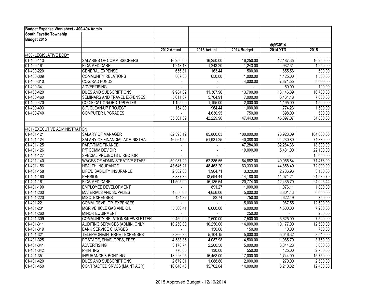| Budget Expense Worksheet - 400-404 Admin |                                       |                          |             |             |           |            |
|------------------------------------------|---------------------------------------|--------------------------|-------------|-------------|-----------|------------|
| South Fayette Township                   |                                       |                          |             |             |           |            |
| Budget 2015                              |                                       |                          |             |             |           |            |
|                                          |                                       |                          |             |             | @9/30/14  |            |
|                                          |                                       | 2012 Actual              | 2013 Actual | 2014 Budget | 2014 YTD  | 2015       |
| (400) LEGISLATIVE BODY                   |                                       |                          |             |             |           |            |
| 01-400-113                               | SALARIES OF COMMISSIONERS             | 16,250.00                | 16,250.00   | 16,250.00   | 12,187.35 | 16,250.00  |
| 01-400-161                               | <b>FICA/MEDICARE</b>                  | 1,243.13                 | 1,243.20    | 1,243.00    | 932.31    | 1,250.00   |
| 01-400-220                               | <b>GENERAL EXPENSE</b>                | 656.81                   | 163.44      | 500.00      | 655.56    | 500.00     |
| 01-400-309                               | <b>COMMUNITY RELATIONS</b>            | 867.36                   | 650.00      | 1,000.00    | 1,425.00  | 1,500.00   |
| 01-400-310                               | <b>COG/RAD FUNDS</b>                  | $\sim$                   | $\sim$      | 4,000.00    | 7,871.55  | 8,000.00   |
| 01-400-341                               | <b>ADVERTISING</b>                    |                          |             |             | 50.00     | 100.00     |
| 01-400-420                               | <b>DUES AND SUBSCRIPTIONS</b>         | 9,984.02                 | 11,367.96   | 13,700.00   | 13,146.89 | 16,700.00  |
| 01-400-460                               | SEMINARS AND TRAVEL EXPENSES          | 5,011.07                 | 5,764.91    | 7,000.00    | 5,461.18  | 7,000.00   |
| 01-400-470                               | CODIFICATION/ORD. UPDATES             | 1,195.00                 | 1,195.00    | 2,000.00    | 1,195.00  | 1,500.00   |
| 01-400-493                               | S.F. CLEAN-UP PROJECT                 | 154.00                   | 964.44      | 1,000.00    | 1,774.23  | 1,500.00   |
| 01-400-740                               | <b>COMPUTER UPGRADES</b>              |                          | 4,630.95    | 750.00      | 398.00    | 500.00     |
|                                          |                                       | 35,361.39                | 42,229.90   | 47,443.00   | 45,097.07 | 54,800.00  |
|                                          |                                       |                          |             |             |           |            |
| (401) EXECUTIVE ADMINISTRATION           |                                       |                          |             |             |           |            |
| 01-401-121                               | <b>SALARY OF MANAGER</b>              | 82,393.12                | 85,800.03   | 100,000.00  | 76,923.09 | 104,000.00 |
| 01-401-124                               | SALARY OF FINANCIAL ADMINISTRA        | 46,961.52                | 51,931.25   | 40,388.00   | 24,230.80 | 74,880.00  |
| 01-401-125                               | PART-TIME FINANCE                     | $\overline{\phantom{a}}$ |             | 47,284.00   | 32,284.36 | 18,800.00  |
| 01-401-126                               | P/T COMM DEV DIR                      | $\overline{a}$           |             | 19,000.00   | 5,431.00  | 22,100.00  |
| 01-401-127                               | <b>SPECIAL PROJECTS DIRECTOR</b>      |                          |             |             |           | 15,600.00  |
| 01-401-140                               | WAGES OF ADMINISTRATIVE STAFF         | 59,987.20                | 62,386.55   | 64,882.00   | 49,955.84 | 71,478.00  |
| 01-401-156                               | <b>HEALTH INSURANCE</b>               | 43,646.21                | 48,463.20   | 63,333.00   | 44,858.49 | 72,000.00  |
| 01-401-158                               | LIFE/DISABILITY INSURANCE             | 2,382.60                 | 1,964.71    | 3,320.00    | 2,736.96  | 3,150.00   |
| 01-401-160                               | <b>PENSION</b>                        | 8,887.36                 | 13,594.44   | 14,180.00   | 11,071.21 | 21,530.79  |
| 01-401-161                               | <b>FICA/MEDICARE</b>                  | 11,505.90                | 15,185.64   | 20,774.00   | 12,435.70 | 24,025.44  |
| 01-401-190                               | <b>EMPLOYEE DEVELOPMENT</b>           |                          | 891.27      | 1,000.00    | 1,076.11  | 1,800.00   |
| 01-401-200                               | MATERIALS AND SUPPLIES                | 4,550.86                 | 4,656.06    | 5,000.00    | 3,801.43  | 6,000.00   |
| 01-401-220                               | MISC. EXPENSES                        | 494.32                   | 82.74       | 750.00      | 622.49    | 750.00     |
| 01-401-221                               | COMM. DEVELOP. EXPENSES               |                          |             | 5,000.00    | 967.55    | 12,500.00  |
| 01-401-231                               | MGR VEHICLE GAS AND OIL               | 5,560.41                 | 6,000.00    | 6,000.00    | 4,500.00  | 7,200.00   |
| 01-401-260                               | <b>MINOR EQUIPMENT</b>                |                          |             | 250.00      |           | 250.00     |
| 01-401-309                               | <b>COMMUNITY RELATIONS/NEWSLETTER</b> | 9,450.00                 | 7,500.00    | 7,500.00    | 5,625.00  | 7,500.00   |
| 01-401-311                               | AUDITING SERVICES (ADMIN. ONLY        | 10,250.00                | 10,250.00   | 14,000.00   | 10,177.00 | 12,500.00  |
| 01-401-319                               | <b>BANK SERVICE CHARGES</b>           |                          | 150.00      | 150.00      | 10.00     | 750.00     |
| 01-401-321                               | TELEPHONE/INTERNET EXPENSES           | 3,866.36                 | 5,104.15    | 5,000.00    | 5,046.32  | 8,540.00   |
| 01-401-325                               | POSTAGE, ENVELOPES, FEES              | 4,588.86                 | 4,087.98    | 4,500.00    | 1,985.70  | 3,750.00   |
| 01-401-341                               | <b>ADVERTISING</b>                    | 3,178.74                 | 2,200.50    | 5,000.00    | 3,344.23  | 5,000.00   |
| 01-401-342                               | <b>PRINTING</b>                       | 770.00                   | 130.00      | 550.00      | 125.00    | 2,700.00   |
| 01-401-351                               | <b>INSURANCE &amp; BONDING</b>        | 13,226.25                | 15,458.00   | 17,000.00   | 1,744.00  | 15,750.00  |
| 01-401-420                               | DUES AND SUBSCRIPTIONS                | 2,679.01                 | 1,088.80    | 2,000.00    | 270.00    | 2,500.00   |
| 01-401-450                               | CONTRACTED SRVCS (MAINT AGR)          | 16,040.43                | 15,702.04   | 14,000.00   | 8,210.82  | 12,400.00  |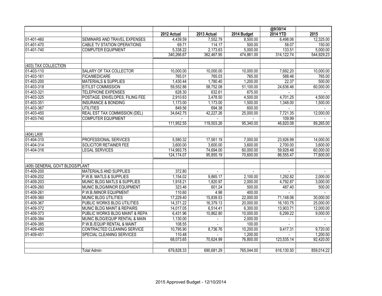|                                |                                        |             |             |             | @9/30/14        |              |
|--------------------------------|----------------------------------------|-------------|-------------|-------------|-----------------|--------------|
|                                |                                        | 2012 Actual | 2013 Actual | 2014 Budget | <b>2014 YTD</b> | 2015         |
| 01-401-460                     | SEMINARS AND TRAVEL EXPENSES           | 4,439.59    | 7,552.79    | 8,500.00    | 6,498.06        | 12,325.00    |
| 01-401-470                     | CABLE TV STATION OPERATIONS            | 69.71       | 114.17      | 500.00      | 58.07           | 150.00       |
| 01-401-740                     | <b>COMPUTER EQUIPMENT</b>              | 5,338.22    | 2,173.63    | 5,000.00    | 133.51          | 5,000.00     |
|                                |                                        | 340,266.67  | 362,467.95  | 474,861.00  | 314,122.74      | 544,929.23   |
|                                |                                        |             |             |             |                 |              |
| (403) TAX COLLECTION           |                                        |             |             |             |                 |              |
| $01-403-110$                   | SALARY OF TAX COLLECTOR                | 10,000.00   | 10,000.00   | 10,000.00   | 7,692.20        | 10,000.00    |
| 01-403-161                     | <b>FICA/MEDICARE</b>                   | 765.01      | 765.03      | 765.00      | 588.46          | 765.00       |
| 01-403-200                     | <b>MATERIALS &amp; SUPPLIES</b>        | 1,430.44    | 1,780.40    | 1,200.00    | 22.37           | 500.00       |
| 01-403-318                     | EIT/LST COMMISSION                     | 59,552.86   | 58,752.08   | 51,100.00   | 24,636.46       | 60,000.00    |
| 01-403-321                     | <b>TELEPHONE EXPENSES</b>              | 628.30      | 632.61      | 675.00      |                 |              |
| 01-403-325                     | POSTAGE, ENVELOPES, FILING FEE         | 2,910.63    | 3,478.50    | 4,500.00    | 4,701.25        | 4,500.00     |
| 01-403-351                     | <b>INSURANCE &amp; BONDING</b>         | 1,173.00    | 1,173.00    | 1,500.00    | 1,348.00        | 1,500.00     |
| 01-403-367                     | <b>UTILITIES</b>                       | 849.56      | 694.38      | 600.00      |                 |              |
| 01-403-450                     | <b>REAL EST TAX COMMISSION (DEL)</b>   | 34,642.75   | 42,227.26   | 25,000.00   | 7,721.35        | 12,000.00    |
| 01-403-740                     | <b>COMPUTER EQUIPMENT</b>              |             |             |             | 109.99          |              |
|                                |                                        | 111,952.55  | 119,503.26  | 95,340.00   | 46,820.08       | 89,265.00    |
|                                |                                        |             |             |             |                 |              |
| $\overline{(404)}$ LAW         |                                        |             |             |             |                 |              |
| 01-404-310                     | PROFESSIONAL SERVICES                  | 5,580.32    | 17,561.19   | 7,000.00    | 23,926.99       | 14,000.00    |
| 01-404-314                     | <b>SOLICITOR RETAINER FEE</b>          | 3,600.00    | 3,600.00    | 3,600.00    | 2,700.00        | 3,600.00     |
| 01-404-316                     | <b>LEGAL SERVICES</b>                  | 114,993.75  | 74,694.00   | 60,000.00   | 59,928.48       | 60,000.00    |
|                                |                                        | 124,174.07  | 95,855.19   | 70,600.00   | 86,555.47       | 77,600.00    |
|                                |                                        |             |             |             |                 |              |
| (409) GENERAL GOVT BLDGS/PLANT |                                        |             |             |             |                 |              |
| 01-409-200                     | <b>MATERIALS AND SUPPLIES</b>          | 372.80      |             |             |                 |              |
| 01-409-202                     | P.W.B. MATLS & SUPPLIES                | 1,154.02    | 9,865.17    | 2,100.00    | 1,292.82        | 2,000.00     |
| 01-409-203                     | <b>MUNIC BLDG MATLS &amp; SUPPLIES</b> | 1,918.21    | 1,820.97    | 2,000.00    | 4,792.87        | 3,000.00     |
| 01-409-260                     | MUNIC BLDG/MINOR EQUIPMENT             | 323.46      | 601.24      | 500.00      | 487.40          | 500.00       |
| 01-409-261                     | P.W.B./MINOR EQUIPMENT                 | 110.60      | 4.98        | 400.00      |                 | $\mathbf{r}$ |
| 01-409-360                     | MUNIC BLDG UTILITIES                   | 17,229.40   | 15,839.53   | 22,000.00   | 71,148.06       | 30,000.00    |
| 01-409-367                     | PUBLIC WORKS BLDG UTILITIES            | 14,371.22   | 16,379.13   | 20,000.00   | 16,193.75       | 25,000.00    |
| 01-409-372                     | MUNIC BLDG MAINT & REPAIRS             | 14,017.05   | 6,514.41    | 6,300.00    | 13,903.71       | 12,000.00    |
| 01-409-373                     | PUBLIC WORKS BLDG MAINT & REPA         | 6,431.96    | 10,862.80   | 10,000.00   | 6,299.22        | 9,000.00     |
| 01-409-384                     | MUNIC BLDG/EQUIP RENTAL & MAIN         | 1,130.00    |             | 2,000.00    |                 |              |
| 01-409-385                     | P.W.B./EQUIP RENTAL & MAINT            | 108.55      |             | 100.00      |                 |              |
| 01-409-450                     | CONTRACTED CLEANING SERVICE            | 10,795.90   | 8,736.76    | 10,200.00   | 9,417.31        | 9,720.00     |
| 01-409-451                     | SPECIAL CLEANING SERVICES              | 110.48      |             | 1,200.00    |                 | 1,200.00     |
|                                |                                        | 68,073.65   | 70,624.99   | 76,800.00   | 123,535.14      | 92,420.00    |
|                                |                                        |             |             |             |                 |              |
|                                | Total Admin                            | 679,828.33  | 690,681.29  | 765,044.00  | 616,130.50      | 859,014.22   |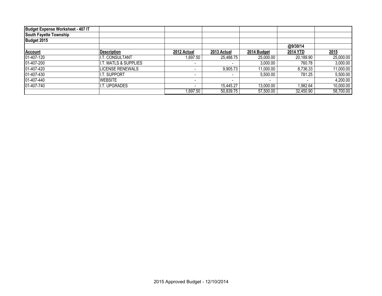| <b>Budget Expense Worksheet - 407 IT</b> |                       |             |             |             |                 |           |
|------------------------------------------|-----------------------|-------------|-------------|-------------|-----------------|-----------|
| South Fayette Township                   |                       |             |             |             |                 |           |
| Budget 2015                              |                       |             |             |             |                 |           |
|                                          |                       |             |             |             | @9/30/14        |           |
| <b>Account</b>                           | <b>Description</b>    | 2012 Actual | 2013 Actual | 2014 Budget | <b>2014 YTD</b> | 2015      |
| 01-407-120                               | I.T. CONSULTANT       | 1,697.50    | 25,488.75   | 25,000.00   | 20,189.90       | 25,000.00 |
| 01-407-200                               | I.T. MATLS & SUPPLIES |             |             | 3,000.00    | 760.78          | 3,000.00  |
| 01-407-420                               | LICENSE RENEWALS      |             | 9,905.73    | 11,000.00   | 8,736.33        | 11,000.00 |
| 01-407-430                               | I.T. Support          |             |             | 5,500.00    | 781.25          | 5,500.00  |
| 01-407-440                               | <b>WEBSITE</b>        |             |             |             |                 | 4,200.00  |
| 01-407-740                               | I.T. UPGRADES         |             | 15,445.27   | 13,000.00   | 1,982.64        | 10,000.00 |
|                                          |                       | 1,697.50    | 50,839.75   | 57,500.00   | 32,450.90       | 58,700.00 |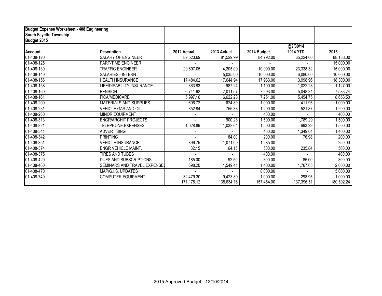| <b>Budget Expense Worksheet - 408 Engineering</b> |                                     |                   |             |             |                 |            |
|---------------------------------------------------|-------------------------------------|-------------------|-------------|-------------|-----------------|------------|
| South Fayette Township                            |                                     |                   |             |             |                 |            |
| Budget 2015                                       |                                     |                   |             |             |                 |            |
|                                                   |                                     |                   |             |             | @9/30/14        |            |
| <b>Account</b>                                    | <b>Description</b>                  | 2012 Actual       | 2013 Actual | 2014 Budget | <b>2014 YTD</b> | 2015       |
| 01-408-120                                        | <b>SALARY OF ENGINEER</b>           | 82,523.69         | 81,529.99   | 84,792.00   | 65,224.00       | 88,183.00  |
| 01-408-125                                        | <b>PART-TIME ENGINEER</b>           |                   |             |             |                 | 15,000.00  |
| 01-408-130                                        | TRAFFIC ENGINEER                    | 20,697.05         | 4,205.00    | 10,000.00   | 23,338.32       | 15,000.00  |
| 01-408-140                                        | <b>SALARIES - INTERN</b>            |                   | 5,035.00    | 10,000.00   | 6,080.00        | 10,000.00  |
| 01-408-156                                        | <b>HEALTH INSURANCE</b>             | 17,484.62         | 17,644.94   | 17,933.00   | 13,998.96       | 18,300.00  |
| 01-408-158                                        | LIFE/DISABILITY INSURANCE           | 863.83            | 987.24      | 1,100.00    | 1,022.28        | 1,127.00   |
| 01-408-160                                        | <b>PENSION</b>                      | $\sqrt{6,741.92}$ | 7,011.57    | 7,293.00    | 5,048.34        | 7,583.74   |
| 01-408-161                                        | <b>FICA/MEDICARE</b>                | 5,997.16          | 6,622.28    | 7,251.00    | 5,454.75        | 8,658.50   |
| 01-408-200                                        | <b>MATERIALS AND SUPPLIES</b>       | 696.72            | 624.89      | 1,000.00    | 411.95          | 1,000.00   |
| 01-408-231                                        | VEHICLE GAS AND OIL                 | 852.84            | 755.38      | ,200.00     | 521.87          | 1,200.00   |
| 01-408-260                                        | <b>MINOR EQUIPMENT</b>              |                   |             | 400.00      |                 | 400.00     |
| 01-408-313                                        | <b>ENGR/ARCHIT PROJECTS</b>         |                   | 900.28      | ,500.00     | 11,789.29       | 1,500.00   |
| 01-408-321                                        | <b>TELEPHONE EXPENSES</b>           | 1,028.89          | 1,032.64    | ,500.00     | 693.29          | 1,500.00   |
| 01-408-341                                        | <b>ADVERTISING</b>                  |                   |             | 400.00      | 1,349.04        | 1,400.00   |
| 01-408-342                                        | PRINTING                            |                   | 84.00       | 200.00      | 76.98           | 200.00     |
| 01-408-351                                        | <b>VEHICLE INSURANCE</b>            | 896.75            | 1,071.00    | ,285.00     |                 | 250.00     |
| 01-408-374                                        | <b>ENGR VEHICLE MAINT.</b>          | 32.15             | 64.15       | 500.00      | 235.84          | 500.00     |
| 01-408-375                                        | TIRES AND TUBES                     |                   |             | 400.00      |                 | 400.00     |
| 01-408-420                                        | DUES AND SUBSCRIPTIONS              | 185.00            | 92.50       | 300.00      | 85.00           | 300.00     |
| 01-408-460                                        | <b>SEMINARS AND TRAVEL EXPENSES</b> | 698.20            | 1,549.41    | 1,400.00    | 1,767.65        | 2,000.00   |
| 01-408-470                                        | MAP/G.I.S. UPDATES                  |                   |             | 8,000.00    |                 | 5,000.00   |
| 01-408-740                                        | <b>COMPUTER EQUIPMENT</b>           | 32,479.30         | 9,423.89    | 1,000.00    | 298.95          | 1,000.00   |
|                                                   |                                     | 171,178.12        | 138,634.16  | 157,454.00  | 137,396.51      | 180,502.24 |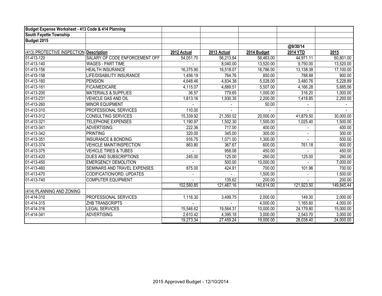| Budget Expense Worksheet - 413 Code & 414 Planning |                                  |             |             |             |                 |            |
|----------------------------------------------------|----------------------------------|-------------|-------------|-------------|-----------------|------------|
| South Fayette Township                             |                                  |             |             |             |                 |            |
| Budget 2015                                        |                                  |             |             |             |                 |            |
|                                                    |                                  |             |             |             | @9/30/14        |            |
| (413) PROTECTIVE INSPECTION Description            |                                  | 2012 Actual | 2013 Actual | 2014 Budget | <b>2014 YTD</b> | 2015       |
| 01-413-120                                         | SALARY OF CODE ENFORCEMENT OFF   | 54,051.70   | 56,213.84   | 58,463.00   | 44,971.11       | 60,801.00  |
| 01-413-140                                         | <b>WAGES - PART TIME</b>         |             | 8,040.00    | 13,520.00   | 9,750.00        | 13,520.00  |
| 01-413-156                                         | <b>HEALTH INSURANCE</b>          | 16,375.90   | 16,518.07   | 16,786.00   | 13,138.38       | 17,100.00  |
| 01-413-158                                         | LIFE/DISABILITY INSURANCE        | 1,456.19    | 764.76      | 850.00      | 788.88          | 900.00     |
| 01-413-160                                         | <b>PENSION</b>                   | 4,648.46    | 4,834.38    | 5,028.00    | 3,480.76        | 5,228.89   |
| 01-413-161                                         | <b>FICA/MEDICARE</b>             | 4,115.07    | 4,889.51    | 5,507.00    | 4,166.28        | 5,685.56   |
| 01-413-200                                         | <b>MATERIALS &amp; SUPPLIES</b>  | 36.57       | 779.65      | 1,000.00    | 316.20          | 1,000.00   |
| 01-413-231                                         | <b>VEHICLE GAS AND OIL</b>       | 1,813.16    | 1,930.35    | 2,200.00    | 1,418.85        | 2,200.00   |
| 01-413-260                                         | <b>MINOR EQUIPMENT</b>           |             |             | 50.00       |                 |            |
| 01-413-310                                         | <b>PROFESSIONAL SERVICES</b>     | 110.00      |             |             |                 |            |
| 01-413-312                                         | <b>CONSULTING SERVICES</b>       | 15,339.92   | 21,350.02   | 20,000.00   | 41,879.50       | 30,000.00  |
| 01-413-321                                         | <b>TELEPHONE EXPENSES</b>        | 1,190.97    | 1,502.30    | 1,500.00    | 1,025.40        | 1,500.00   |
| 01-413-341                                         | <b>ADVERTISING</b>               | 222.36      | 717.00      | 400.00      |                 | 400.00     |
| 01-413-342                                         | <b>PRINTING</b>                  | 320.00      | 345.00      | 300.00      |                 | 300.00     |
| 01-413-351                                         | <b>INSURANCE &amp; BONDING</b>   | 916.75      | 1,071.00    | 1,300.00    |                 | 500.00     |
| 01-413-374                                         | <b>VEHICLE MAINT/INSPECTION</b>  | 863.80      | 367.67      | 600.00      | 761.18          | 600.00     |
| 01-413-375                                         | <b>VEHICLE TIRES &amp; TUBES</b> |             | 958.08      | 450.00      |                 | 450.00     |
| 01-413-420                                         | DUES AND SUBSCRIPTIONS           | 245.00      | 125.00      | 260.00      | 125.00          | 260.00     |
| 01-413-450                                         | <b>EMERGENCY DEMOLITION</b>      |             | 500.00      | 10,000.00   |                 | 7,000.00   |
| 01-413-460                                         | SEMINARS AND TRAVEL EXPENSES     | 875.00      | 424.91      | 700.00      | 101.96          | 700.00     |
| 01-413-470                                         | CODIFICATION/ORD. UPDATES        |             |             | 1,500.00    |                 | 1,500.00   |
| 01-413-740                                         | <b>COMPUTER EQUIPMENT</b>        |             | 135.62      | 200.00      |                 | 200.00     |
|                                                    |                                  | 102,580.85  | 121,467.16  | 140,614.00  | 121,923.50      | 149,845.44 |
| (414) PLANNING AND ZONING                          |                                  |             |             |             |                 |            |
| 01-414-310                                         | PROFESSIONAL SERVICES            | 1,116.30    | 3,499.75    | 2,000.00    | 149.30          | 2,000.00   |
| $01-414-315$                                       | ZHB TRANSCRIPTS                  |             |             | 4,000.00    | 1,165.60        | 4,000.00   |
| 01-414-316                                         | <b>LEGAL SERVICES</b>            | 15,546.62   | 19,564.31   | 10,000.00   | 24,179.80       | 15,000.00  |
| 01-414-341                                         | <b>ADVERTISING</b>               | 2,610.42    | 4,395.18    | 3,000.00    | 2,543.70        | 3,000.00   |
|                                                    |                                  | 19,273.34   | 27,459.24   | 19,000.00   | 28,038.40       | 24,000.00  |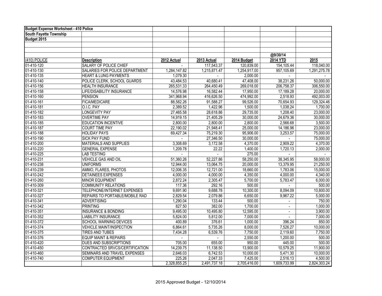| <b>Budget Expense Worksheet - 410 Police</b> |                                       |              |              |              |                |              |
|----------------------------------------------|---------------------------------------|--------------|--------------|--------------|----------------|--------------|
| South Fayette Township                       |                                       |              |              |              |                |              |
| Budget 2015                                  |                                       |              |              |              |                |              |
|                                              |                                       |              |              |              |                |              |
|                                              |                                       |              |              |              |                |              |
|                                              |                                       |              |              |              | @9/30/14       |              |
| (410) POLICE                                 | <b>Description</b>                    | 2012 Actual  | 2013 Actual  | 2014 Budget  | 2014 YTD       | 2015         |
| 01-410-120                                   | SALARY OF POLICE CHIEF                |              | 117,543.37   | 120,839.00   | 154, 105.44    | 118,040.00   |
| 01-410-130                                   | SALARIES FOR POLICE DEPARTMENT        | 1,284,147.82 | 1,215,871.47 | 1,254,917.00 | 957,105.69     | 1,291,275.78 |
| 01-410-135                                   | <b>HEART &amp; LUNG PAYMENTS</b>      | 1,079.30     |              | 2,000.00     |                |              |
| 01-410-140                                   | POLICE CLERK, SCHOOL GUARDS           | 43,484.53    | 40,680.41    | 47,408.00    | 38,231.26      | 50,000.00    |
| 01-410-156                                   | <b>HEALTH INSURANCE</b>               | 265,531.33   | 264,450.49   | 269,018.00   | 206,758.37     | 306,550.00   |
| 01-410-158                                   | LIFE/DISABILITY INSURANCE             | 14,576.98    | 16,582.44    | 17,950.00    | 17,189.28      | 20,000.00    |
| 01-410-160                                   | PENSION                               | 341,968.94   | 416,626.50   | 474,992.00   | 2,518.93       | 492,003.00   |
| 01-410-161                                   | <b>FICA/MEDICARE</b>                  | 88,582.26    | 91,588.27    | 99,526.00    | 70,654.93      | 129,324.46   |
| 01-410-181                                   | O.I.C. PAY                            | 2,389.52     | 1,422.96     | 1,500.00     | 1,038.24       | 1,700.00     |
| 01-410-182                                   | <b>LONGEVITY PAY</b>                  | 27,465.58    | 28,618.86    | 29,735.00    | 1,208.40       | 23,000.00    |
| 01-410-183                                   | <b>OVERTIME PAY</b>                   | 14,919.15    | 21,405.29    | 30,000.00    | 24,679.36      | 30,000.00    |
| 01-410-185                                   | <b>EDUCATION INCENTIVE</b>            | 2,800.00     | 2,800.00     | 2,800.00     | 2,566.68       | 3,500.00     |
| 01-410-187                                   | <b>COURT TIME PAY</b>                 | 22,190.02    | 21,948.41    | 25,000.00    | 14,186.96      | 23,000.00    |
| 01-410-188                                   | <b>HOLIDAY PAYS</b>                   | 69,427.34    | 75,219.30    | 95,906.00    | 3,253.57       | 75,000.00    |
| 01-410-190                                   | <b>SICK PAY FUND</b>                  |              | 27,346.50    | 30,000.00    |                | 75,000.00    |
| 01-410-200                                   | <b>MATERIALS AND SUPPLIES</b>         | 3,308.69     | 3,172.58     | 4,370.00     | 2,909.22       | 4,370.00     |
| 01-410-220                                   | <b>GENERAL EXPENSE</b>                | 1,209.78     | 22.22        | 1,400.00     | 1,720.13       | 2,000.00     |
| 01-410-225                                   | <b>LAB TESTING</b>                    |              |              | 275.00       |                |              |
| 01-410-231                                   | VEHICLE GAS AND OIL                   | 51,360.26    | 52,227.86    | 58,250.00    | 38,345.95      | 58,000.00    |
| 01-410-238                                   | <b>UNIFORMS</b>                       | 12,944.00    | 13,064.75    | 20,000.00    | 13,379.95      | 21,250.00    |
| 01-410-239                                   | AMMO, FLARES, PHOTOS                  | 12,006.35    | 12,721.00    | 18,660.00    | 1,783.06       | 15,000.00    |
| 01-410-242                                   | <b>DETAINEES EXPENSES</b>             | 4,000.00     | 4,000.00     | 4,350.00     | 4,000.00       | 4,340.00     |
| 01-410-260                                   | <b>MINOR EQUIPMENT</b>                | 2,872.24     | 2,305.47     | 5,700.00     | 5,783.47       | 6,000.00     |
| 01-410-309                                   | <b>COMMUNITY RELATIONS</b>            | 117.36       | 292.16       | 500.00       |                | 500.00       |
| 01-410-321                                   | TELEPHONE/INTERNET EXPENSES           | 9,691.90     | 9,688.78     | 10,300.00    | 8,094.09       | 10,800.00    |
| 01-410-327                                   | <b>REPAIRS TO PORTABLE/MOBILE RAD</b> | 2,829.54     | 2,079.86     | 6,650.00     | 9,967.22       | 5,000.00     |
| 01-410-341                                   | <b>ADVERTISING</b>                    | 1,290.04     | 133.44       | 500.00       | $\blacksquare$ | 750.00       |
| 01-410-342                                   | <b>PRINTING</b>                       | 827.50       | 382.00       | 1,700.00     | $\sim$         | 1,000.00     |
| 01-410-351                                   | <b>INSURANCE &amp; BONDING</b>        | 9,495.00     | 10,495.80    | 12,595.00    |                | 3,900.00     |
| 01-410-352                                   | <b>LIABILITY INSURANCE</b>            | 5,824.00     | 5,812.00     | 7,000.00     |                | 7,000.00     |
| 01-410-372                                   | <b>SCHOOL WARNING DEVICES</b>         | 400.89       | 376.61       | 1,000.00     | 396.24         | 850.00       |
| 01-410-374                                   | <b>VEHICLE MAINT/INSPECTION</b>       | 6,864.61     | 5,735.26     | 8,000.00     | 7,526.27       | 10,000.00    |
| 01-410-375                                   | TIRES AND TUBES                       | 7,434.28     | 6,539.76     | 7,750.00     | 2,119.60       | 7,750.00     |
| 01-410-376                                   | <b>EQUIP MAINT &amp; REPAIRS</b>      |              |              | 2,550.00     | 1,200.00       | 500.00       |
| 01-410-420                                   | DUES AND SUBSCRIPTIONS                | 705.00       | 655.00       | 950.00       | 445.00         | 500.00       |
| 01-410-450                                   | CONTRACTED SRVCS/CERTIFICATION        | 14,239.75    | 11,138.50    | 13,900.00    | 10,579.25      | 11,900.00    |
| 01-410-460                                   | SEMINARS AND TRAVEL EXPENSES          | 2,646.03     | 6,742.53     | 10,000.00    | 5,471.30       | 10,000.00    |
| 01-410-740                                   | <b>COMPUTER EQUIPMENT</b>             | 225.26       | 2,047.33     | 7,425.00     | 2,516.13       | 4,500.00     |
|                                              |                                       | 2,328,855.25 | 2,491,737.18 | 2,705,416.00 | 1,609,733.99   | 2,824,303.24 |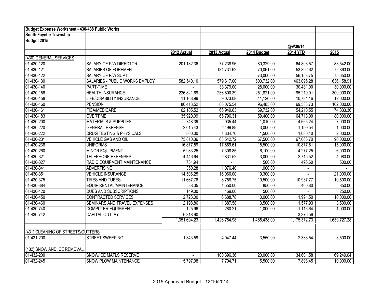|                                   | Budget Expense Worksheet - 430-438 Public Works |                |              |              |                 |              |
|-----------------------------------|-------------------------------------------------|----------------|--------------|--------------|-----------------|--------------|
| <b>South Fayette Township</b>     |                                                 |                |              |              |                 |              |
| Budget 2015                       |                                                 |                |              |              |                 |              |
|                                   |                                                 |                |              |              | @9/30/14        |              |
|                                   |                                                 | 2012 Actual    | 2013 Actual  | 2014 Budget  | <b>2014 YTD</b> | 2015         |
| (430) GENERAL SERVICES            |                                                 |                |              |              |                 |              |
| 01-430-120                        | <b>SALARY OF P/W DIRECTOR</b>                   | 201,182.36     | 77,238.96    | 80,329.00    | 64,803.57       | 83,542.00    |
| 01-430-121                        | <b>SALARIES OF FOREMEN</b>                      |                | 134,731.62   | 70,061.00    | 53,892.62       | 72,863.00    |
| 01-430-122                        | SALARY OF P/W SUPT.                             | $\blacksquare$ |              | 73,000.00    | 56,153.75       | 75,650.00    |
| 01-430-130                        | <b>SALARIES - PUBLIC WORKS EMPLOY</b>           | 582,540.10     | 579,617.00   | 600,732.00   | 463,095.28      | 636,158.91   |
| 01-430-140                        | PART-TIME                                       |                | 33,379.00    | 28,000.00    | 30,481.00       | 30,000.00    |
| 01-430-156                        | <b>HEALTH INSURANCE</b>                         | 226,821.69     | 236,800.39   | 251,821.00   | 195,210.01      | 300,000.00   |
| 01-430-158                        | LIFE/DISABILITY INSURANCE                       | 11,168.99      | 9,073.08     | 11,120.00    | 10,784.16       | 12,000.00    |
| 01-430-160                        | <b>PENSION</b>                                  | 86,413.52      | 86,075.54    | 96,483.00    | 69,588.73       | 102,000.00   |
| 01-430-161                        | <b>FICA/MEDICARE</b>                            | 62,105.52      | 66,949.63    | 69,732.00    | 54,210.55       | 74,833.36    |
| 01-430-183                        | <b>OVERTIME</b>                                 | 35,920.09      | 65,796.31    | 59,400.00    | 64,713.00       | 80,000.00    |
| 01-430-200                        | <b>MATERIALS &amp; SUPPLIES</b>                 | 748.39         | 935.44       | 1,010.00     | 4,665.24        | 7,000.00     |
| 01-430-220                        | <b>GENERAL EXPENSE</b>                          | 2,015.43       | 2,499.89     | 3,000.00     | 1,199.54        | 1,000.00     |
| 01-430-222                        | <b>DRUG TESTING &amp; PHYSICALS</b>             | 800.00         | 1,334.70     | 1,500.00     | 1,680.40        | 2,000.00     |
| 01-430-231                        | <b>VEHICLE GAS AND OIL</b>                      | 75,810.36      | 68,542.72    | 67,500.00    | 67,066.70       | 90,000.00    |
| 01-430-238                        | <b>UNIFORMS</b>                                 | 16,877.59      | 17,669.61    | 15,500.00    | 10,877.61       | 15,000.00    |
| 01-430-260                        | <b>MINOR EQUIPMENT</b>                          | 5,983.25       | 7,308.85     | 6,100.00     | 4,277.25        | 6,000.00     |
| 01-430-321                        | <b>TELEPHONE EXPENSES</b>                       | 4,446.64       | 2,831.52     | 3,000.00     | 2,715.52        | 4,080.00     |
| 01-430-327                        | RADIO EQUIPMENT MAINTENANCE                     | 731.94         |              | 500.00       | 496.60          | 500.00       |
| 01-430-341                        | <b>ADVERTISING</b>                              | 350.28         | 1,076.40     | 1,000.00     | $\overline{a}$  |              |
| 01-430-351                        | <b>VEHICLE INSURANCE</b>                        | 14,506.25      | 16,060.00    | 19,300.00    |                 | 21,000.00    |
| 01-430-375                        | <b>TIRES AND TUBES</b>                          | 11,667.76      | 8,758.75     | 10,500.00    | 10,937.77       | 10,500.00    |
| 01-430-384                        | EQUIP RENTAL/MAINTENANCE                        | 88.35          | 1,550.00     | 850.00       | 460.80          | 850.00       |
| 01-430-420                        | DUES AND SUBSCRIPTIONS                          | 149.00         | 169.00       | 500.00       |                 | 250.00       |
| 01-430-450                        | <b>CONTRACTED SERVICES</b>                      | 2,723.00       | 6,688.78     | 10,000.00    | 1,991.50        | 10,000.00    |
| 01-430-460                        | SEMINARS AND TRAVEL EXPENSES                    | 2,198.86       | 1,387.58     | 3,500.00     | 1,577.93        | 3,500.00     |
| 01-430-740                        | <b>COMPUTER EQUIPMENT</b>                       | 125.96         | 280.21       | 1,000.00     | 1,116.64        | 1,000.00     |
| 01-430-742                        | <b>CAPITAL OUTLAY</b>                           | 6,318.90       |              |              | 3,376.56        |              |
|                                   |                                                 | 1,351,694.23   | 1,426,754.98 | 1,485,438.00 | 1,175,372.73    | 1,639,727.28 |
|                                   |                                                 |                |              |              |                 |              |
| (431) CLEANING OF STREETS/GUTTERS |                                                 |                |              |              |                 |              |
| 01-431-200                        | <b>STREET SWEEPING</b>                          | 1,343.59       | 4,047.44     | 3,550.00     | 2,383.54        | 3,500.00     |
| (432) SNOW AND ICE REMOVAL        |                                                 |                |              |              |                 |              |
| 01-432-200                        | SNOW/ICE MATLS RESERVE                          |                | 100,396.36   | 20,000.00    | 34,601.58       | 69,249.04    |
| 01-432-245                        | <b>SNOW PLOW MAINTENANCE</b>                    | 5,797.98       | 7,704.71     | 5,500.00     | 7,898.45        | 10,000.00    |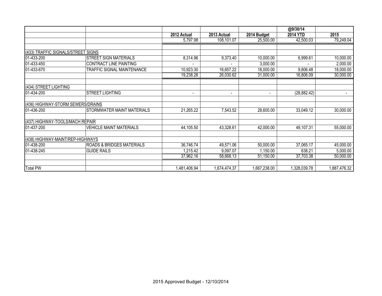|                                    |                                      |                          |              |                          | @9/30/14     |              |
|------------------------------------|--------------------------------------|--------------------------|--------------|--------------------------|--------------|--------------|
|                                    |                                      | 2012 Actual              | 2013 Actual  | 2014 Budget              | 2014 YTD     | 2015         |
|                                    |                                      | 5,797.98                 | 108,101.07   | 25,500.00                | 42,500.03    | 79,249.04    |
|                                    |                                      |                          |              |                          |              |              |
| (433) TRAFFIC SIGNALS/STREET SIGNS |                                      |                          |              |                          |              |              |
| 01-433-200                         | <b>STREET SIGN MATERIALS</b>         | 8,314.96                 | 9,373.40     | 10,000.00                | 6,999.61     | 10,000.00    |
| 01-433-450                         | <b>CONTRACT LINE PAINTING</b>        |                          |              | 3,000.00                 |              | 2,000.00     |
| 01-433-670                         | TRAFFIC SIGNAL MAINTENANCE           | 10,923.30                | 16,657.22    | 18,000.00                | 9,806.48     | 18,000.00    |
|                                    |                                      | 19,238.26                | 26,030.62    | 31,000.00                | 16,806.09    | 30,000.00    |
|                                    |                                      |                          |              |                          |              |              |
| (434) STREET LIGHTING              |                                      |                          |              |                          |              |              |
| 01-434-200                         | <b>STREET LIGHTING</b>               | $\overline{\phantom{a}}$ | ٠            | $\overline{\phantom{a}}$ | (28, 882.42) | ٠            |
|                                    |                                      |                          |              |                          |              |              |
| (436) HIGHWAY-STORM SEWERS/DRAINS  |                                      |                          |              |                          |              |              |
| 01-436-200                         | STORMWATER MAINT MATERIALS           | 21,265.22                | 7,543.52     | 28,600.00                | 33,049.12    | 30,000.00    |
|                                    |                                      |                          |              |                          |              |              |
| (437) HIGHWAY-TOOLS/MACH REPAIR    |                                      |                          |              |                          |              |              |
| 01-437-200                         | <b>VEHICLE MAINT MATERIALS</b>       | 44,105.50                | 43,328.61    | 42,000.00                | 49,107.31    | 55,000.00    |
|                                    |                                      |                          |              |                          |              |              |
| (438) HIGHWAY-MAINT/REP-HIGHWAYS   |                                      |                          |              |                          |              |              |
| 01-438-200                         | <b>ROADS &amp; BRIDGES MATERIALS</b> | 36,746.74                | 49,571.06    | 50,000.00                | 37,065.17    | 45,000.00    |
| 01-438-245                         | <b>GUIDE RAILS</b>                   | 1,215.42                 | 9,097.07     | 1,150.00                 | 638.21       | 5,000.00     |
|                                    |                                      | 37,962.16                | 58,668.13    | 51,150.00                | 37,703.38    | 50,000.00    |
|                                    |                                      |                          |              |                          |              |              |
| <b>Total PW</b>                    |                                      | 1,481,406.94             | 1,674,474.37 | 1,667,238.00             | 1,328,039.78 | 1,887,476.32 |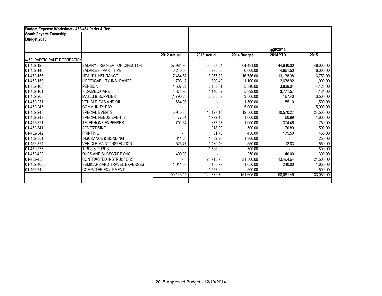| Budget Expense Worksheet - 452-454 Parks & Rec |                                  |             |             |             |           |            |
|------------------------------------------------|----------------------------------|-------------|-------------|-------------|-----------|------------|
| South Fayette Township                         |                                  |             |             |             |           |            |
| Budget 2015                                    |                                  |             |             |             |           |            |
|                                                |                                  |             |             |             |           |            |
|                                                |                                  |             |             |             | @9/30/14  |            |
|                                                |                                  | 2012 Actual | 2013 Actual | 2014 Budget | 2014 YTD  | 2015       |
| (452) PARTICIPANT RECREATION                   |                                  |             |             |             |           |            |
| 01-452-120                                     | SALARY - RECREATION DIRECTOR     | 57,984.95   | 50,037.34   | 64,481.00   | 44,640.00 | 48,000.00  |
| 01-452-140                                     | <b>SALARIES - PART TIME</b>      | 6,240.00    | 3,275.00    | 6,000.00    | 4,661.50  | 6,000.00   |
| $01-452-156$                                   | HEALTH INSURANCE                 | 17,484.62   | 18,067.32   | 16,786.00   | 13,138.38 | 6,750.00   |
| 01-452-158                                     | <b>LIFE/DISABILITY INSURANCE</b> | 703.12      | 800.40      | 1,100.00    | 2,638.92  | 1,000.00   |
| 01-452-160                                     | <b>PENSION</b>                   | 4,507.22    | 2,153.31    | 5,546.00    | 3,839.04  | 4,128.00   |
| 01-452-161                                     | <b>FICA/MEDICARE</b>             | 4,874.96    | 4,140.32    | 5,392.00    | 3,771.57  | 4,131.00   |
| 01-452-200                                     | <b>MATLS &amp; SUPPLIES</b>      | (1,790.25)  | 2,865.09    | 3,500.00    | 167.40    | 3,500.00   |
| 01-452-231                                     | VEHICLE GAS AND OIL              | 664.98      |             | 1,500.00    | 85.10     | 1,500.00   |
| 01-452-247                                     | <b>COMMUNITY DAY</b>             |             |             | 5,000.00    |           | 5,000.00   |
| 01-452-248                                     | <b>SPECIAL EVENTS</b>            | 5,945.80    | 10,127.16   | 12,500.00   | 10,570.27 | 24,500.00  |
| 01-452-249                                     | <b>SPECIAL NEEDS EVENTS</b>      | 77.51       | 1,772.10    | 1,600.00    | 60.99     | 1,600.00   |
| 01-452-321                                     | <b>TELEPHONE EXPENSES</b>        | 701.64      | 377.57      | 1,000.00    | 374.46    | 750.00     |
| 01-452-341                                     | <b>ADVERTISING</b>               |             | 918.00      | 500.00      | 70.89     | 500.00     |
| 01-452-342                                     | <b>PRINTING</b>                  |             | 31.70       | 450.00      | 175.50    | 450.00     |
| $01-452-351$                                   | <b>INSURANCE &amp; BONDING</b>   | 811.25      | 1,082.20    | 1,300.00    |           | 250.00     |
| 01-452-374                                     | <b>VEHICLE MAINT/INSPECTION</b>  | 525.77      | 1,489.46    | 550.00      | 12.83     | 550.00     |
| 01-452-375                                     | <b>TIRES &amp; TUBES</b>         |             | 1,538.00    | 500.00      |           | 500.00     |
| 01-452-420                                     | DUES AND SUBSCRIPTIONS           | 400.00      |             | 250.00      | 140.00    | 300.00     |
| 01-452-450                                     | CONTRACTED INSTRUCTORS           |             | 21,913.95   | 21,500.00   | 13,494.64 | 21,500.00  |
| 01-452-460                                     | SEMINARS AND TRAVEL EXPENSES     | 1,011.58    | 185.79      | 1,650.00    | 240.00    | 1,650.00   |
| 01-452-740                                     | <b>COMPUTER EQUIPMENT</b>        |             | 1,557.99    | 500.00      |           | 500.00     |
|                                                |                                  | 100,143.15  | 122,332.70  | 151,605.00  | 98,081.49 | 133,059.00 |
|                                                |                                  |             |             |             |           |            |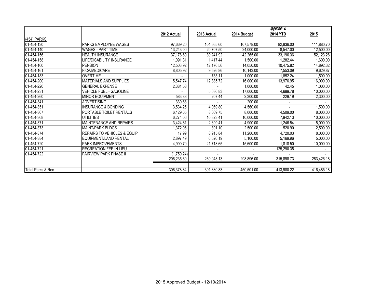|                   |                                        |             |             |             | @9/30/14   |            |
|-------------------|----------------------------------------|-------------|-------------|-------------|------------|------------|
|                   |                                        | 2012 Actual | 2013 Actual | 2014 Budget | 2014 YTD   | 2015       |
| (454) PARKS       |                                        |             |             |             |            |            |
| 01-454-130        | PARKS EMPLOYEE WAGES                   | 97,669.20   | 104,665.60  | 107,578.00  | 82,836.00  | 111,880.70 |
| 01-454-140        | <b>WAGES - PART TIME</b>               | 13,243.00   | 20,707.50   | 24,000.00   | 8,547.00   | 12,500.00  |
| 01-454-156        | <b>HEALTH INSURANCE</b>                | 37,178.60   | 39,241.92   | 42,265.00   | 33,196.36  | 52,123.28  |
| 01-454-158        | LIFE/DISABILITY INSURANCE              | 1,091.31    | 1,417.44    | 1,500.00    | 1,282.44   | 1,600.00   |
| 01-454-160        | <b>PENSION</b>                         | 12,503.92   | 12,176.56   | 14,050.00   | 10,475.82  | 14,892.32  |
| 01-454-161        | FICA/MEDICARE                          | 8,805.92    | 9,526.86    | 10,143.00   | 7,553.09   | 9,629.87   |
| 01-454-183        | <b>OVERTIME</b>                        |             | 783.11      | 1,000.00    | 1,852.24   | 1,500.00   |
| 01-454-200        | <b>MATERIALS AND SUPPLIES</b>          | 5,547.74    | 12,385.72   | 16,000.00   | 13,976.95  | 16,000.00  |
| 01-454-220        | <b>GENERAL EXPENSE</b>                 | 2,381.58    |             | 1,000.00    | 42.45      | 1,000.00   |
| 01-454-231        | <b>VEHICLE FUEL - GASOLINE</b>         |             | 5,086.83    | 17,000.00   | 4,689.78   | 10,000.00  |
| 01-454-260        | <b>MINOR EQUIPMENT</b>                 | 583.88      | 207.44      | 2,300.00    | 229.19     | 2,300.00   |
| 01-454-341        | <b>ADVERTISING</b>                     | 330.68      |             | 200.00      |            |            |
| 01-454-351        | <b>INSURANCE &amp; BONDING</b>         | 3,534.25    | 4,069.80    | 4,560.00    |            | 1,500.00   |
| 01-454-367        | PORTABLE TOILET RENTALS                | 6,129.65    | 8,009.75    | 8,000.00    | 4,509.00   | 8,000.00   |
| 01-454-368        | <b>UTILITIES</b>                       | 6,274.06    | 10,323.41   | 10,000.00   | 7,942.13   | 10,000.00  |
| 01-454-371        | <b>MAINTENANCE AND REPAIRS</b>         | 3,424.81    | 2,399.41    | 4,900.00    | 1,246.54   | 5,000.00   |
| 01-454-373        | MAINT/PARK BLDGS.                      | 1,372.06    | 891.10      | 2,500.00    | 520.90     | 2,500.00   |
| 01-454-374        | <b>REPAIRS TO VEHICLES &amp; EQUIP</b> | 17.99       | 8,915.84    | 11,200.00   | 4,720.03   | 8,000.00   |
| 01-454-384        | <b>EQUIPMENT/LAND RENTAL</b>           | 2,897.49    | 6,526.19    | 5,100.00    | 5,169.96   | 5,000.00   |
| 01-454-720        | <b>PARK IMPROVEMENTS</b>               | 4,999.79    | 21,713.65   | 15,600.00   | 1,818.50   | 10,000.00  |
| 01-454-721        | RECREATION FEE IN LIEU                 |             |             |             | 125,290.35 |            |
| 01-454-722        | <b>FAIRVIEW PARK PHASE II</b>          | (1,750.24)  |             |             |            |            |
|                   |                                        | 206,235.69  | 269,048.13  | 298,896.00  | 315,898.73 | 283,426.18 |
|                   |                                        |             |             |             |            |            |
| Total Parks & Rec |                                        | 306,378.84  | 391,380.83  | 450,501.00  | 413,980.22 | 416,485.18 |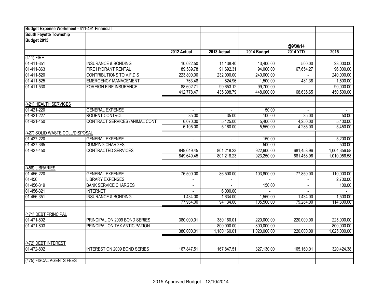| Budget Expense Worksheet - 411-491 Financial |                                       |                |                  |              |                |                |
|----------------------------------------------|---------------------------------------|----------------|------------------|--------------|----------------|----------------|
| <b>South Fayette Township</b>                |                                       |                |                  |              |                |                |
| Budget 2015                                  |                                       |                |                  |              |                |                |
|                                              |                                       |                |                  |              | @9/30/14       |                |
|                                              |                                       | 2012 Actual    | 2013 Actual      | 2014 Budget  | 2014 YTD       | 2015           |
| (411) FIRE                                   |                                       |                |                  |              |                |                |
| 01-411-351                                   | <b>INSURANCE &amp; BONDING</b>        | 10,022.50      | 11,138.40        | 13,400.00    | 500.00         | 23,000.00      |
| 01-411-363                                   | FIRE HYDRANT RENTAL                   | 89,589.78      | 91,692.31        | 94,000.00    | 67,654.27      | 96,000.00      |
| 01-411-520                                   | <b>CONTRIBUTIONS TO V.F.D.S</b>       | 223,800.00     | 232,000.00       | 240,000.00   |                | 240,000.00     |
| 01-411-525                                   | <b>EMERGENCY MANAGEMENT</b>           | 763.48         | 824.96           | 1,500.00     | 481.38         | 1,500.00       |
| 01-411-530                                   | <b>FOREIGN FIRE INSURANCE</b>         | 88,602.71      | 99,653.12        | 99,700.00    |                | 90,000.00      |
|                                              |                                       | 412,778.47     | 435,308.79       | 448,600.00   | 68,635.65      | 450,500.00     |
| (421) HEALTH SERVICES                        |                                       |                |                  |              |                |                |
| 01-421-220                                   | <b>GENERAL EXPENSE</b>                | ÷,             | $\blacksquare$   | 50.00        | $\mathbf{r}$   | $\blacksquare$ |
| 01-421-227                                   | RODENT CONTROL                        | 35.00          | 35.00            | 100.00       | 35.00          | 50.00          |
| 01-421-450                                   | <b>CONTRACT SERVICES (ANIMAL CONT</b> | 6,070.00       | 5,125.00         | 5,400.00     | 4,250.00       | 5,400.00       |
|                                              |                                       | 6,105.00       | 5,160.00         | 5,550.00     | 4,285.00       | 5,450.00       |
| (427) SOLID WASTE COLL/DISPOSAL              |                                       |                |                  |              |                |                |
| 01-427-220                                   | <b>GENERAL EXPENSE</b>                | ÷,             | $\omega_{\rm c}$ | 150.00       | $\mathbf{r}$   | 5,200.00       |
| 01-427-365                                   | <b>DUMPING CHARGES</b>                | $\overline{a}$ |                  | 500.00       |                | 500.00         |
| 01-427-450                                   | <b>CONTRACTED SERVICES</b>            | 849,649.45     | 801,218.23       | 922,600.00   | 681,458.96     | 1,004,356.58   |
|                                              |                                       | 849,649.45     | 801,218.23       | 923,250.00   | 681,458.96     | 1,010,056.58   |
|                                              |                                       |                |                  |              |                |                |
| (456) LIBRARIES                              |                                       |                |                  |              |                |                |
| 01-456-220                                   | <b>GENERAL EXPENSE</b>                | 76,500.00      | 86,500.00        | 103,800.00   | 77,850.00      | 110,000.00     |
| 01-456                                       | <b>LIBRARY EXPENSES</b>               | $\blacksquare$ |                  |              | $\blacksquare$ | 2,700.00       |
| 01-456-319                                   | <b>BANK SERVICE CHARGES</b>           |                |                  | 150.00       |                | 100.00         |
| 01-456-321                                   | <b>INTERNET</b>                       |                | 6,000.00         |              |                |                |
| 01-456-351                                   | <b>INSURANCE &amp; BONDING</b>        | 1,434.00       | 1,634.00         | 1,550.00     | 1,434.00       | 1,500.00       |
|                                              |                                       | 77,934.00      | 94,134.00        | 105,500.00   | 79,284.00      | 114,300.00     |
| (471) DEBT PRINCIPAL                         |                                       |                |                  |              |                |                |
| 01-471-802                                   | PRINCIPAL ON 2009 BOND SERIES         | 380,000.01     | 380,160.01       | 220,000.00   | 220,000.00     | 225,000.00     |
| 01-471-803                                   | PRINCIPAL ON TAX ANTICIPATION         |                | 800,000.00       | 800,000.00   |                | 800,000.00     |
|                                              |                                       | 380,000.01     | 1,180,160.01     | 1,020,000.00 | 220,000.00     | 1,025,000.00   |
| (472) DEBT INTEREST                          |                                       |                |                  |              |                |                |
| 01-472-802                                   | <b>INTEREST ON 2009 BOND SERIES</b>   | 167,847.51     | 167,847.51       | 327,130.00   | 165,160.01     | 320,424.38     |
|                                              |                                       |                |                  |              |                |                |
| (475) FISCAL AGENTS FEES                     |                                       |                |                  |              |                |                |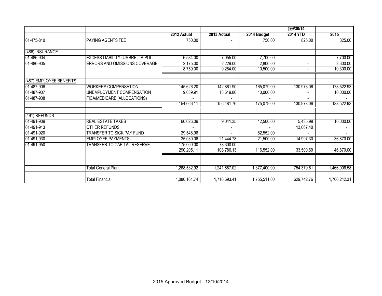|                         |                                       |              |              |              | @9/30/14                 |              |
|-------------------------|---------------------------------------|--------------|--------------|--------------|--------------------------|--------------|
|                         |                                       | 2012 Actual  | 2013 Actual  | 2014 Budget  | 2014 YTD                 | 2015         |
| 01-475-810              | <b>PAYING AGENTS FEE</b>              | 750.00       |              | 750.00       | 825.00                   | 825.00       |
|                         |                                       |              |              |              |                          |              |
| (486) INSURANCE         |                                       |              |              |              |                          |              |
| 01-486-904              | <b>EXCESS LIABILITY (UMBRELLA POL</b> | 6,584.00     | 7,055.00     | 7,700.00     | $\overline{\phantom{a}}$ | 7,700.00     |
| 01-486-905              | ERRORS AND OMISSIONS COVERAGE         | 2,175.00     | 2,229.00     | 2,800.00     |                          | 2,600.00     |
|                         |                                       | 8,759.00     | 9,284.00     | 10,500.00    | $\blacksquare$           | 10,300.00    |
|                         |                                       |              |              |              |                          |              |
| (487) EMPLOYEE BENEFITS |                                       |              |              |              |                          |              |
| 01-487-906              | <b>WORKERS COMPENSATION</b>           | 145,626.20   | 142,861.90   | 165,079.00   | 130,973.06               | 178,522.93   |
| 01-487-907              | UNEMPLOYMENT COMPENSATION             | 9,039.91     | 13,619.86    | 10,000.00    |                          | 10,000.00    |
| 01-487-908              | FICA/MEDICARE (ALLOCATIONS)           |              |              |              |                          |              |
|                         |                                       | 154,666.11   | 156,481.76   | 175,079.00   | 130,973.06               | 188,522.93   |
|                         |                                       |              |              |              |                          |              |
| (491) REFUNDS           |                                       |              |              |              |                          |              |
| 01-491-909              | <b>REAL ESTATE TAXES</b>              | 60,626.09    | 9,041.35     | 12,500.00    | 5,435.99                 | 10,000.00    |
| 01-491-913              | <b>OTHER REFUNDS</b>                  |              |              |              | 13,067.40                |              |
| 01-491-920              | <b>TRANSFER TO SICK PAY FUND</b>      | 29,548.96    |              | 82,552.00    |                          |              |
| 01-491-930              | <b>EMPLOYEE PAYMENTS</b>              | 25,030.06    | 21,444.78    | 21,500.00    | 14,997.30                | 36,870.00    |
| 01-491-950              | <b>TRANSFER TO CAPITAL RESERVE</b>    | 175,000.00   | 78,300.00    |              |                          |              |
|                         |                                       | 290,205.11   | 108,786.13   | 116,552.00   | 33,500.69                | 46,870.00    |
|                         |                                       |              |              |              |                          |              |
|                         |                                       |              |              |              |                          |              |
|                         | <b>Total General Plant</b>            | 1,268,532.92 | 1,241,687.02 | 1,377,400.00 | 754,379.61               | 1,466,006.58 |
|                         |                                       |              |              |              |                          |              |
|                         | <b>Total Financial</b>                | 1,080,161.74 | 1,716,693.41 | 1,755,511.00 | 629,742.76               | 1,706,242.31 |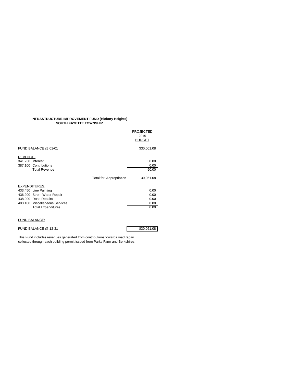#### **INFRASTRUCTURE IMPROVEMENT FUND (Hickory Heights) SOUTH FAYETTE TOWNSHIP**

|                                | <b>PROJECTED</b><br>2015             |  |
|--------------------------------|--------------------------------------|--|
|                                | <b>BUDGET</b>                        |  |
| FUND BALANCE @ 01-01           | \$30,001.08                          |  |
| REVENUE:                       |                                      |  |
| 341.230 Interest               | 50.00                                |  |
| 387.100 Contributions          | 0.00                                 |  |
| <b>Total Revenue</b>           | 50.00                                |  |
|                                | Total for Appropriation<br>30,051.08 |  |
| <b>EXPENDITURES:</b>           |                                      |  |
| 433.450 Line Painting          | 0.00                                 |  |
| 436.200 Strom Water Repair     | 0.00                                 |  |
| 438.200 Road Repairs           | 0.00                                 |  |
| 493.100 Miscellaneous Services | 0.00                                 |  |
| <b>Total Expenditures</b>      | 0.00                                 |  |
|                                |                                      |  |

# FUND BALANCE:

| FUND BALANCE @ 12-31<br>\$30.051.08 |  |
|-------------------------------------|--|
|-------------------------------------|--|

This Fund includes revenues generated from contributions towards road repair collected through each building permit issued from Parks Farm and Berkshires.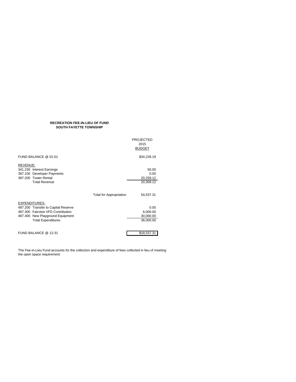## **RECREATION FEE-IN-LIEU OF FUND SOUTH FAYETTE TOWNSHIP**

|                                                   | <b>PROJECTED</b><br>2015       |               |
|---------------------------------------------------|--------------------------------|---------------|
|                                                   | <b>BUDGET</b>                  |               |
| FUND BALANCE @ 01-01                              |                                | \$34,228.19   |
| REVENUE:                                          |                                |               |
| 341.230 Interest Earnings<br>387.100              |                                | 50.00<br>0.00 |
| <b>Developer Payments</b><br>387.200 Tower Rental |                                | 20,259.12     |
| <b>Total Revenue</b>                              |                                | 20,309.12     |
|                                                   |                                |               |
|                                                   | <b>Total for Appropriation</b> | 54,537.31     |
| <b>EXPENDITURES:</b>                              |                                |               |
| 487.200 Transfer to Capital Reserve               |                                | 0.00          |
| 487.300 Fairview VFD Contribution                 |                                | 6,000.00      |
| 487.400 New Playground Equipment                  |                                | 30,000.00     |
| <b>Total Expenditures</b>                         |                                | 36,000.00     |
|                                                   |                                |               |
| FUND BALANCE @ 12-31                              |                                | \$18,537.31   |

The Fee-in-Lieu Fund accounts for the collection and expenditure of fees collected in lieu of meeting the open space requirement.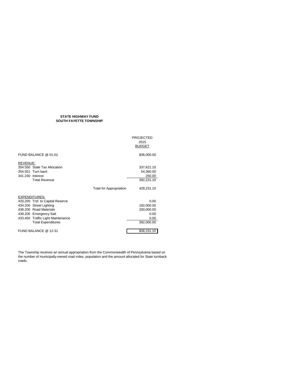#### **STATE HIGHWAY FUND SOUTH FAYETTE TOWNSHIP**

|                                   | <b>PROJECTED</b>                             |
|-----------------------------------|----------------------------------------------|
|                                   | 2015                                         |
|                                   | <b>BUDGET</b>                                |
|                                   |                                              |
| FUND BALANCE @ 01-01              | \$36,000.00                                  |
|                                   |                                              |
| REVENUE:                          |                                              |
| 354.550 State Tax Allocation      | 337,621.10                                   |
| 354.551 Turn back                 | 54,360.00                                    |
| 341.230 Interest                  | 250.00                                       |
| <b>Total Revenue</b>              | 392,231.10                                   |
|                                   | <b>Total for Appropriation</b><br>428,231.10 |
|                                   |                                              |
| <b>EXPENDITURES:</b>              |                                              |
| 433.200 Trsf. to Capital Reserve  | 0.00                                         |
| 434.200 Street Lighting           | 192,000.00                                   |
| 438.200 Road Materials            | 200,000.00                                   |
| 439.200 Emergency Salt            | 0.00                                         |
| 433.450 Traffic Light Maintenance | 0.00                                         |
| <b>Total Expenditures</b>         | 392,000.00                                   |
| FUND BALANCE @ 12-31              | \$36,231.10                                  |
|                                   |                                              |

The Township receives an annual appropriation from the Commonwealth of Pennsylvania based on the number of municipally-owned road miles, population and the amount allocated for State turnback roads.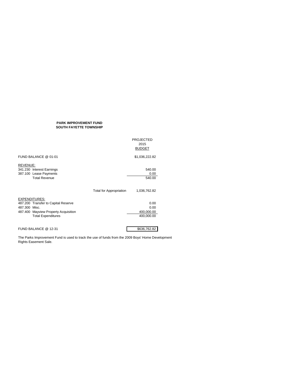## **PARK IMPROVEMENT FUND SOUTH FAYETTE TOWNSHIP**

|                                                                                                                                                   |                                | <b>PROJECTED</b><br>2015<br><b>BUDGET</b> |
|---------------------------------------------------------------------------------------------------------------------------------------------------|--------------------------------|-------------------------------------------|
| FUND BALANCE @ 01-01                                                                                                                              |                                | \$1,036,222.82                            |
| REVENUE:<br>341.230 Interest Earnings<br>387.100 Lease Payments<br><b>Total Revenue</b>                                                           |                                | 540.00<br>0.00<br>540.00                  |
|                                                                                                                                                   | <b>Total for Appropriation</b> | 1,036,762.82                              |
| <b>EXPENDITURES:</b><br>487.200 Transfer to Capital Reserve<br>487.300 Misc.<br>487.400 Mayview Property Acquisition<br><b>Total Expenditures</b> |                                | 0.00<br>0.00<br>400,000.00<br>400,000.00  |
| FUND BALANCE @ 12-31                                                                                                                              |                                | \$636,762.82                              |

The Parks Improvement Fund is used to track the use of funds from the 2009 Boys' Home Development Rights Easement Sale.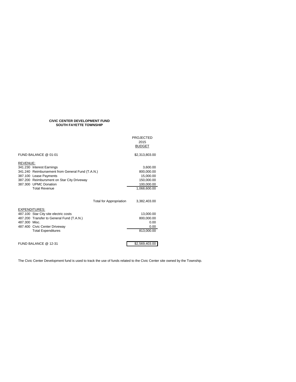## **CIVIC CENTER DEVELOPMENT FUND SOUTH FAYETTE TOWNSHIP**

|                                                  |                                | <b>PROJECTED</b> |
|--------------------------------------------------|--------------------------------|------------------|
|                                                  |                                | 2015             |
|                                                  |                                | <b>BUDGET</b>    |
| FUND BALANCE @ 01-01                             |                                | \$2,313,803.00   |
| REVENUE:                                         |                                |                  |
| 341.230 Interest Earnings                        |                                | 3,600.00         |
| 341.240 Reimbursement from General Fund (T.A.N.) |                                | 800,000.00       |
| 387.100 Lease Payments                           |                                | 15,000.00        |
| 387.200 Reimbursment on Star City Driveway       |                                | 150,000.00       |
| 387.300 UPMC Donation                            |                                | 100,000.00       |
| <b>Total Revenue</b>                             |                                | 1,068,600.00     |
|                                                  | <b>Total for Appropriation</b> | 3,382,403.00     |
| <b>EXPENDITURES:</b>                             |                                |                  |
| 487.100 Star City site electric costs            |                                | 13,000.00        |
| 487.200 Transfer to General Fund (T.A.N.)        |                                | 800,000.00       |
| 487.300 Misc.                                    |                                | 0.00             |
| 487.400 Civic Center Driveway                    |                                | 0.00             |
| <b>Total Expenditures</b>                        |                                | 813,000.00       |
|                                                  |                                |                  |
| FUND BALANCE @ 12-31                             |                                | \$2,569,403.00   |

The Civic Center Development fund is used to track the use of funds related to the Civic Center site owned by the Township.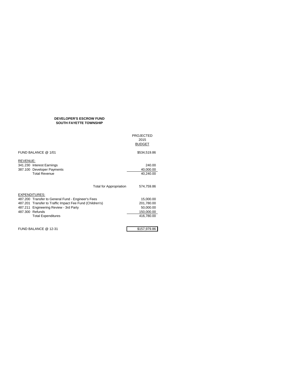#### **DEVELOPER'S ESCROW FUND SOUTH FAYETTE TOWNSHIP**

|                                                                                                       |                                | <b>PROJECTED</b><br>2015<br><b>BUDGET</b> |
|-------------------------------------------------------------------------------------------------------|--------------------------------|-------------------------------------------|
| FUND BALANCE @ 1/01                                                                                   |                                | \$534,519.86                              |
| REVENUE:<br>341.230 Interest Earnings<br><b>Developer Payments</b><br>387.100<br><b>Total Revenue</b> |                                | 240.00<br>40,000.00<br>40,240.00          |
|                                                                                                       | <b>Total for Appropriation</b> | 574,759.86                                |
| <b>EXPENDITURES:</b>                                                                                  |                                |                                           |
| 487.200 Transfer to General Fund - Engineer's Fees                                                    |                                | 15,000.00                                 |
| 487.201 Transfer to Traffic Impact Fee Fund (Children's)                                              |                                | 201,780.00                                |
| 487.211 Engineering Review - 3rd Party                                                                |                                | 50,000.00                                 |
| 487.300 Refunds                                                                                       |                                | 150,000.00                                |
| <b>Total Expenditures</b>                                                                             |                                | 416,780.00                                |
|                                                                                                       |                                |                                           |
| FUND BALANCE @ 12-31                                                                                  |                                | \$157,979.86                              |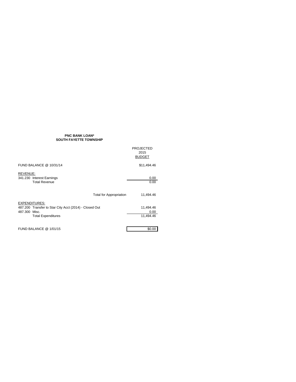#### **PNC BANK LOAN\* SOUTH FAYETTE TOWNSHIP**

|                                                                      | <b>PROJECTED</b><br>2015<br><b>BUDGET</b>   |
|----------------------------------------------------------------------|---------------------------------------------|
| FUND BALANCE @ 10/31/14                                              | \$11,494.46                                 |
| <b>REVENUE:</b><br>341.230 Interest Earnings<br><b>Total Revenue</b> | 0.00<br>0.00                                |
|                                                                      | <b>Total for Appropriation</b><br>11,494.46 |
| <b>EXPENDITURES:</b>                                                 |                                             |
| 487.200 Transfer to Star City Acct (2014) - Closed Out               | 11,494.46                                   |
| 487.300<br>Misc.<br><b>Total Expenditures</b>                        | 0.00<br>11,494.46                           |
| FUND BALANCE @ 1/01/15                                               | \$0.00                                      |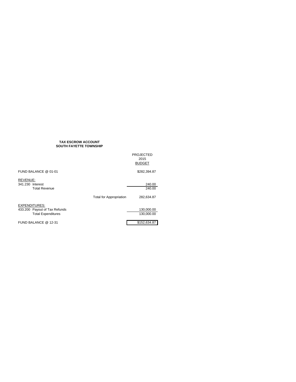#### **TAX ESCROW ACCOUNT SOUTH FAYETTE TOWNSHIP**

|                                                                                    |                                | <b>PROJECTED</b><br>2015<br><b>BUDGET</b> |
|------------------------------------------------------------------------------------|--------------------------------|-------------------------------------------|
| FUND BALANCE @ 01-01                                                               |                                | \$282,394.87                              |
| REVENUE:<br>341.230 Interest<br><b>Total Revenue</b>                               | <b>Total for Appropriation</b> | 240.00<br>240.00<br>282,634.87            |
| <b>EXPENDITURES:</b><br>433.200 Payout of Tax Refunds<br><b>Total Expenditures</b> |                                | 130,000.00<br>130,000.00                  |
| FUND BALANCE @ 12-31                                                               |                                | \$152,634.87                              |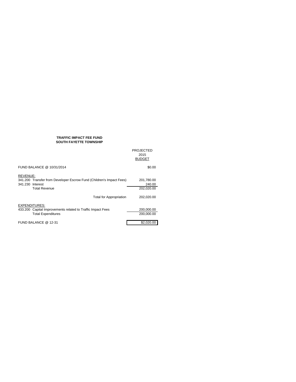## **TRAFFIC IMPACT FEE FUND SOUTH FAYETTE TOWNSHIP**

|                                                                                                                              | <b>PROJECTED</b><br>2015<br><b>BUDGET</b> |
|------------------------------------------------------------------------------------------------------------------------------|-------------------------------------------|
| FUND BALANCE @ 10/31/2014                                                                                                    | \$0.00                                    |
| REVENUE:<br>341.200 Transfer from Developer Escrow Fund (Children's Impact Fees)<br>341.230 Interest<br><b>Total Revenue</b> | 201,780.00<br>240.00<br>202,020.00        |
| <b>Total for Appropriation</b>                                                                                               | 202,020.00                                |
| <b>EXPENDITURES:</b><br>433.200 Capital Improvements related to Traffic Impact Fees<br><b>Total Expenditures</b>             | 200,000.00<br>200,000.00                  |
| FUND BALANCE @ 12-31                                                                                                         | \$2,020.00                                |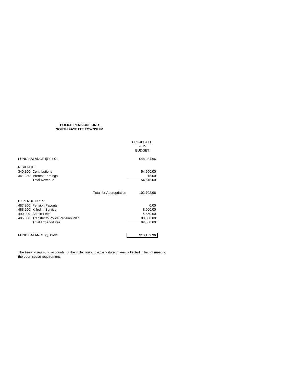## **POLICE PENSION FUND SOUTH FAYETTE TOWNSHIP**

|                                         | <b>PROJECTED</b>               |               |  |
|-----------------------------------------|--------------------------------|---------------|--|
|                                         |                                | 2015          |  |
|                                         |                                | <b>BUDGET</b> |  |
| FUND BALANCE @ 01-01                    |                                | \$48,084.96   |  |
| <b>REVENUE:</b>                         |                                |               |  |
| 340.100 Contributions                   |                                | 54,600.00     |  |
| <b>Interest Earnings</b><br>341.230     |                                | 18.00         |  |
| <b>Total Revenue</b>                    |                                | 54,618.00     |  |
|                                         |                                |               |  |
|                                         | <b>Total for Appropriation</b> | 102,702.96    |  |
| <b>EXPENDITURES:</b>                    |                                |               |  |
| 487.200 Pension Payouts                 |                                | 0.00          |  |
| 488.200 Killed In Service               |                                | 8,000.00      |  |
| 490.200 Admin Fees                      |                                | 4,550.00      |  |
| 495.000 Transfer to Police Pension Plan |                                | 80,000.00     |  |
| <b>Total Expenditures</b>               |                                | 92,550.00     |  |
|                                         |                                |               |  |
| FUND BALANCE @ 12-31                    |                                | \$10,152.96   |  |
|                                         |                                |               |  |

The Fee-in-Lieu Fund accounts for the collection and expenditure of fees collected in lieu of meeting the open space requirement.